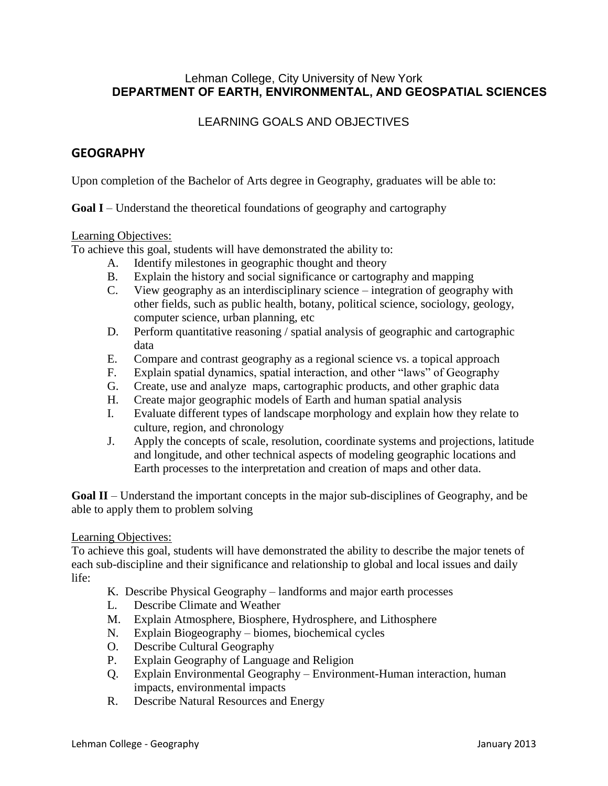### Lehman College, City University of New York **DEPARTMENT OF EARTH, ENVIRONMENTAL, AND GEOSPATIAL SCIENCES**

# LEARNING GOALS AND OBJECTIVES

## **GEOGRAPHY**

Upon completion of the Bachelor of Arts degree in Geography, graduates will be able to:

**Goal I** – Understand the theoretical foundations of geography and cartography

#### Learning Objectives:

To achieve this goal, students will have demonstrated the ability to:

- A. Identify milestones in geographic thought and theory
- B. Explain the history and social significance or cartography and mapping
- C. View geography as an interdisciplinary science integration of geography with other fields, such as public health, botany, political science, sociology, geology, computer science, urban planning, etc
- D. Perform quantitative reasoning / spatial analysis of geographic and cartographic data
- E. Compare and contrast geography as a regional science vs. a topical approach
- F. Explain spatial dynamics, spatial interaction, and other "laws" of Geography
- G. Create, use and analyze maps, cartographic products, and other graphic data
- H. Create major geographic models of Earth and human spatial analysis
- I. Evaluate different types of landscape morphology and explain how they relate to culture, region, and chronology
- J. Apply the concepts of scale, resolution, coordinate systems and projections, latitude and longitude, and other technical aspects of modeling geographic locations and Earth processes to the interpretation and creation of maps and other data.

**Goal II** – Understand the important concepts in the major sub-disciplines of Geography, and be able to apply them to problem solving

#### Learning Objectives:

To achieve this goal, students will have demonstrated the ability to describe the major tenets of each sub-discipline and their significance and relationship to global and local issues and daily life:

- K. Describe Physical Geography landforms and major earth processes
- L. Describe Climate and Weather
- M. Explain Atmosphere, Biosphere, Hydrosphere, and Lithosphere
- N. Explain Biogeography biomes, biochemical cycles
- O. Describe Cultural Geography
- P. Explain Geography of Language and Religion
- Q. Explain Environmental Geography Environment-Human interaction, human impacts, environmental impacts
- R. Describe Natural Resources and Energy